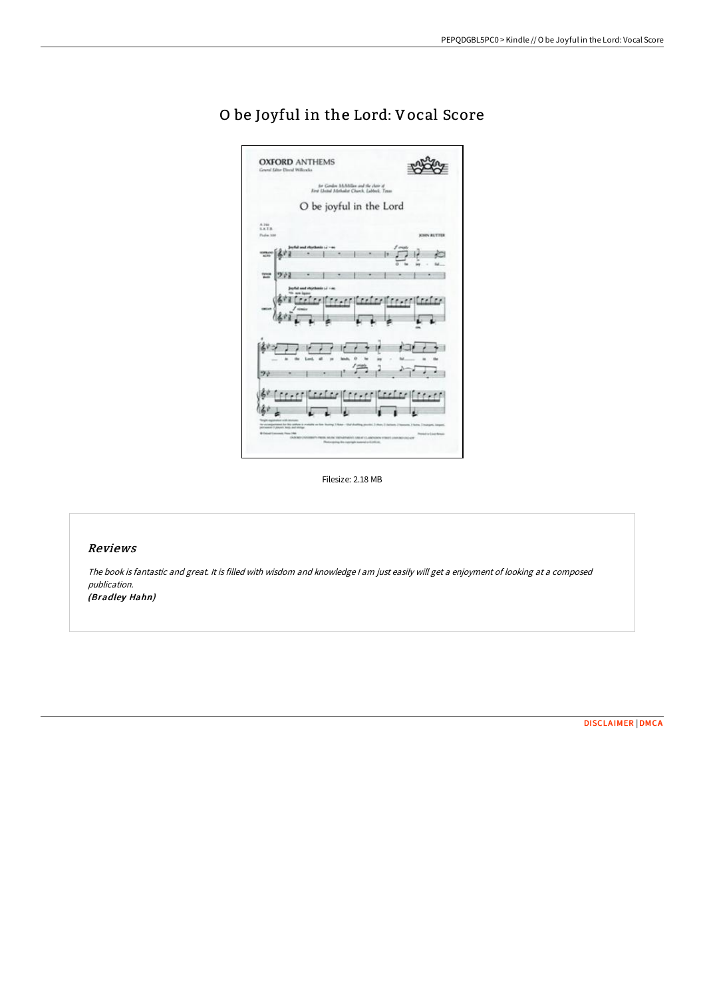| <b>OXFORD ANTHEMS</b><br>Grand Line David Willowin                  |                                                                                         |                                                                                                                                           |
|---------------------------------------------------------------------|-----------------------------------------------------------------------------------------|-------------------------------------------------------------------------------------------------------------------------------------------|
|                                                                     | for Gordon McAbillan and the choir of<br>First United Methodist Church, Lubbeck, Treas. |                                                                                                                                           |
|                                                                     | O be joyful in the Lord                                                                 |                                                                                                                                           |
| A 366<br>LATA.<br><b>Pada 100</b>                                   |                                                                                         | <b>JOHN BUTTER</b>                                                                                                                        |
| 46.948                                                              | ful and rhythmic (a + o<br>۰                                                            | łτ                                                                                                                                        |
| m<br>ツ州                                                             |                                                                                         |                                                                                                                                           |
|                                                                     |                                                                                         |                                                                                                                                           |
| the<br>90                                                           | ö<br>lash                                                                               |                                                                                                                                           |
| and exploration with determine<br>and it players have seen strings. |                                                                                         | corporated for this addem is available on time Scoting 1 Aster - that shooting provided 3 shows 1 between 1 better 3 transports integers. |

# O be Joyful in the Lord: Vocal Score

Filesize: 2.18 MB

## Reviews

The book is fantastic and great. It is filled with wisdom and knowledge <sup>I</sup> am just easily will get <sup>a</sup> enjoyment of looking at <sup>a</sup> composed publication. (Bradley Hahn)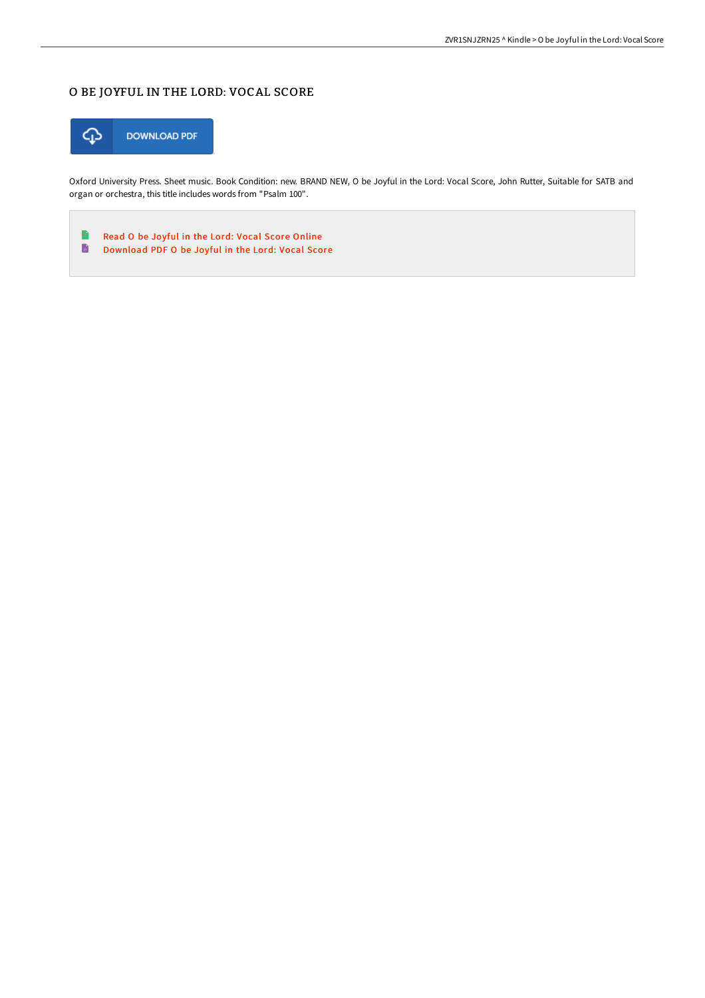## O BE JOYFUL IN THE LORD: VOCAL SCORE



Oxford University Press. Sheet music. Book Condition: new. BRAND NEW, O be Joyful in the Lord: Vocal Score, John Rutter, Suitable for SATB and organ or orchestra, this title includes words from "Psalm 100".

 $\Rightarrow$ Read O be Joyful in the Lord: Vocal Score [Online](http://techno-pub.tech/o-be-joyful-in-the-lord-vocal-score.html)  $\blacksquare$ [Download](http://techno-pub.tech/o-be-joyful-in-the-lord-vocal-score.html) PDF O be Joyful in the Lord: Vocal Score